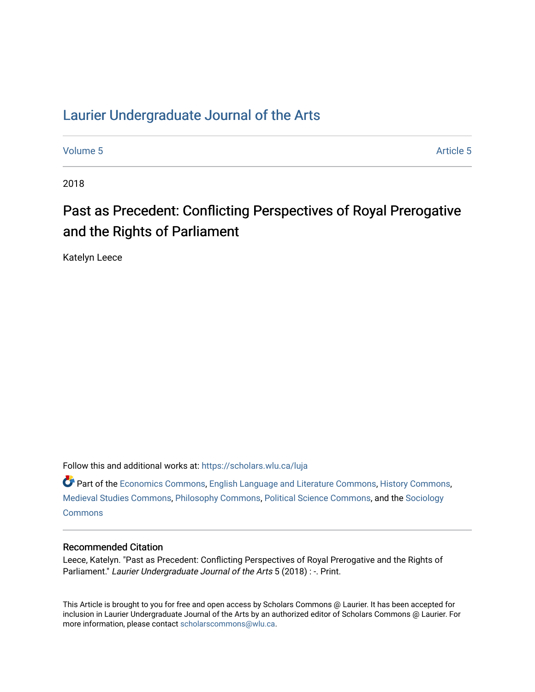## [Laurier Undergraduate Journal of the Arts](https://scholars.wlu.ca/luja)

[Volume 5](https://scholars.wlu.ca/luja/vol5) Article 5

2018

# Past as Precedent: Conflicting Perspectives of Royal Prerogative and the Rights of Parliament

Katelyn Leece

Follow this and additional works at: [https://scholars.wlu.ca/luja](https://scholars.wlu.ca/luja?utm_source=scholars.wlu.ca%2Fluja%2Fvol5%2Fiss1%2F5&utm_medium=PDF&utm_campaign=PDFCoverPages) 

Part of the [Economics Commons](http://network.bepress.com/hgg/discipline/340?utm_source=scholars.wlu.ca%2Fluja%2Fvol5%2Fiss1%2F5&utm_medium=PDF&utm_campaign=PDFCoverPages), [English Language and Literature Commons,](http://network.bepress.com/hgg/discipline/455?utm_source=scholars.wlu.ca%2Fluja%2Fvol5%2Fiss1%2F5&utm_medium=PDF&utm_campaign=PDFCoverPages) [History Commons,](http://network.bepress.com/hgg/discipline/489?utm_source=scholars.wlu.ca%2Fluja%2Fvol5%2Fiss1%2F5&utm_medium=PDF&utm_campaign=PDFCoverPages) [Medieval Studies Commons](http://network.bepress.com/hgg/discipline/480?utm_source=scholars.wlu.ca%2Fluja%2Fvol5%2Fiss1%2F5&utm_medium=PDF&utm_campaign=PDFCoverPages), [Philosophy Commons](http://network.bepress.com/hgg/discipline/525?utm_source=scholars.wlu.ca%2Fluja%2Fvol5%2Fiss1%2F5&utm_medium=PDF&utm_campaign=PDFCoverPages), [Political Science Commons](http://network.bepress.com/hgg/discipline/386?utm_source=scholars.wlu.ca%2Fluja%2Fvol5%2Fiss1%2F5&utm_medium=PDF&utm_campaign=PDFCoverPages), and the [Sociology](http://network.bepress.com/hgg/discipline/416?utm_source=scholars.wlu.ca%2Fluja%2Fvol5%2Fiss1%2F5&utm_medium=PDF&utm_campaign=PDFCoverPages)  **[Commons](http://network.bepress.com/hgg/discipline/416?utm_source=scholars.wlu.ca%2Fluja%2Fvol5%2Fiss1%2F5&utm_medium=PDF&utm_campaign=PDFCoverPages)** 

#### Recommended Citation

Leece, Katelyn. "Past as Precedent: Conflicting Perspectives of Royal Prerogative and the Rights of Parliament." Laurier Undergraduate Journal of the Arts 5 (2018) : -. Print.

This Article is brought to you for free and open access by Scholars Commons @ Laurier. It has been accepted for inclusion in Laurier Undergraduate Journal of the Arts by an authorized editor of Scholars Commons @ Laurier. For more information, please contact [scholarscommons@wlu.ca](mailto:scholarscommons@wlu.ca).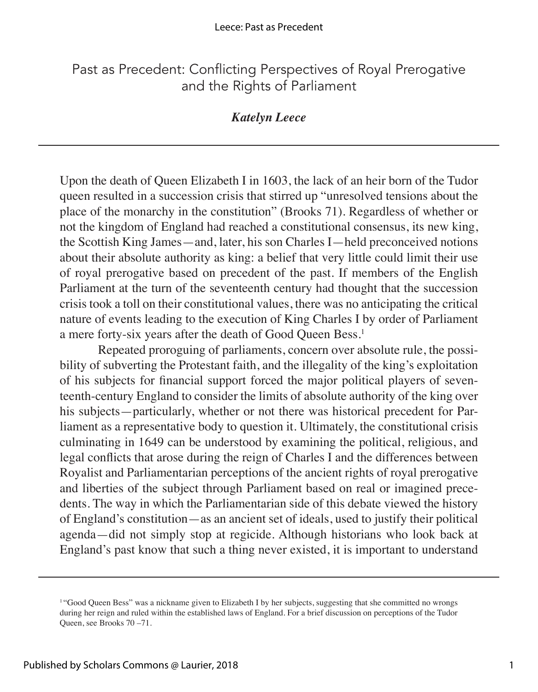### Past as Precedent: Conflicting Perspectives of Royal Prerogative and the Rights of Parliament

#### *Katelyn Leece*

Upon the death of Queen Elizabeth I in 1603, the lack of an heir born of the Tudor queen resulted in a succession crisis that stirred up "unresolved tensions about the place of the monarchy in the constitution" (Brooks 71). Regardless of whether or not the kingdom of England had reached a constitutional consensus, its new king, the Scottish King James—and, later, his son Charles I—held preconceived notions about their absolute authority as king: a belief that very little could limit their use of royal prerogative based on precedent of the past. If members of the English Parliament at the turn of the seventeenth century had thought that the succession crisis took a toll on their constitutional values, there was no anticipating the critical nature of events leading to the execution of King Charles I by order of Parliament a mere forty-six years after the death of Good Queen Bess.1

Repeated proroguing of parliaments, concern over absolute rule, the possibility of subverting the Protestant faith, and the illegality of the king's exploitation of his subjects for financial support forced the major political players of seventeenth-century England to consider the limits of absolute authority of the king over his subjects—particularly, whether or not there was historical precedent for Parliament as a representative body to question it. Ultimately, the constitutional crisis culminating in 1649 can be understood by examining the political, religious, and legal conflicts that arose during the reign of Charles I and the differences between Royalist and Parliamentarian perceptions of the ancient rights of royal prerogative and liberties of the subject through Parliament based on real or imagined precedents. The way in which the Parliamentarian side of this debate viewed the history of England's constitution—as an ancient set of ideals, used to justify their political agenda—did not simply stop at regicide. Although historians who look back at England's past know that such a thing never existed, it is important to understand

<sup>&</sup>lt;sup>1</sup>"Good Queen Bess" was a nickname given to Elizabeth I by her subjects, suggesting that she committed no wrongs during her reign and ruled within the established laws of England. For a brief discussion on perceptions of the Tudor Queen, see Brooks 70 –71.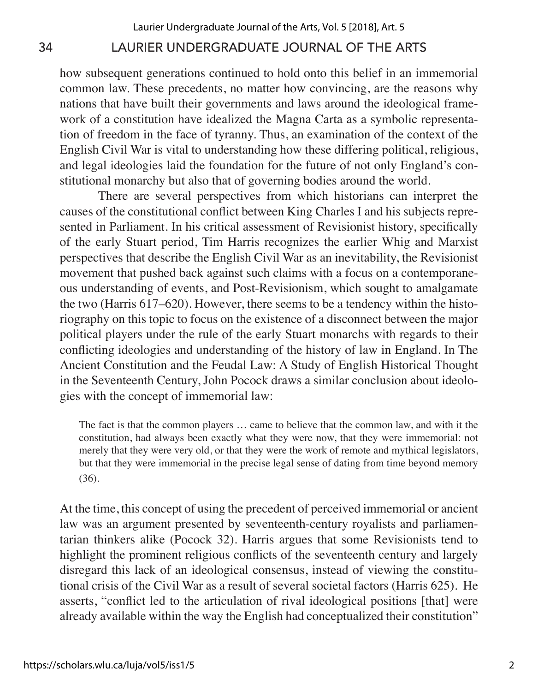how subsequent generations continued to hold onto this belief in an immemorial common law. These precedents, no matter how convincing, are the reasons why nations that have built their governments and laws around the ideological framework of a constitution have idealized the Magna Carta as a symbolic representation of freedom in the face of tyranny. Thus, an examination of the context of the English Civil War is vital to understanding how these differing political, religious, and legal ideologies laid the foundation for the future of not only England's constitutional monarchy but also that of governing bodies around the world.

There are several perspectives from which historians can interpret the causes of the constitutional conflict between King Charles I and his subjects represented in Parliament. In his critical assessment of Revisionist history, specifically of the early Stuart period, Tim Harris recognizes the earlier Whig and Marxist perspectives that describe the English Civil War as an inevitability, the Revisionist movement that pushed back against such claims with a focus on a contemporaneous understanding of events, and Post-Revisionism, which sought to amalgamate the two (Harris 617–620). However, there seems to be a tendency within the historiography on this topic to focus on the existence of a disconnect between the major political players under the rule of the early Stuart monarchs with regards to their conflicting ideologies and understanding of the history of law in England. In The Ancient Constitution and the Feudal Law: A Study of English Historical Thought in the Seventeenth Century, John Pocock draws a similar conclusion about ideologies with the concept of immemorial law:

The fact is that the common players … came to believe that the common law, and with it the constitution, had always been exactly what they were now, that they were immemorial: not merely that they were very old, or that they were the work of remote and mythical legislators, but that they were immemorial in the precise legal sense of dating from time beyond memory (36).

At the time, this concept of using the precedent of perceived immemorial or ancient law was an argument presented by seventeenth-century royalists and parliamentarian thinkers alike (Pocock 32). Harris argues that some Revisionists tend to highlight the prominent religious conflicts of the seventeenth century and largely disregard this lack of an ideological consensus, instead of viewing the constitutional crisis of the Civil War as a result of several societal factors (Harris 625). He asserts, "conflict led to the articulation of rival ideological positions [that] were already available within the way the English had conceptualized their constitution"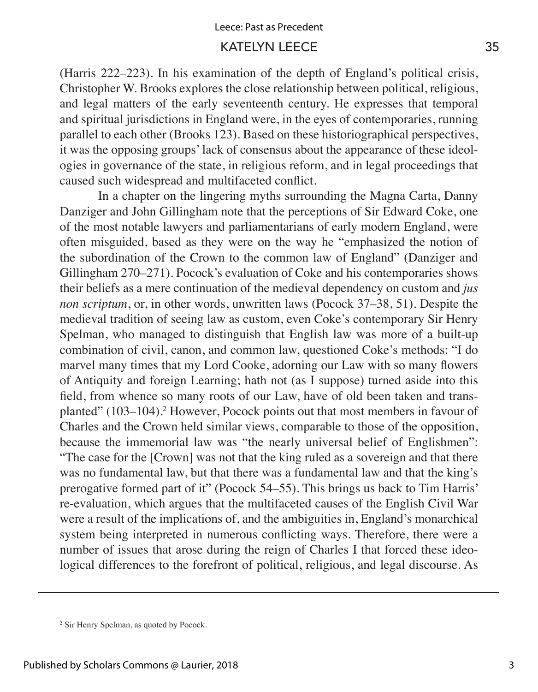(Harris 222–223). In his examination of the depth of England's political crisis, Christopher W. Brooks explores the close relationship between political, religious, and legal matters of the early seventeenth century. He expresses that temporal and spiritual jurisdictions in England were, in the eyes of contemporaries, running parallel to each other (Brooks 123). Based on these historiographical perspectives, it was the opposing groups' lack of consensus about the appearance of these ideologies in governance of the state, in religious reform, and in legal proceedings that caused such widespread and multifaceted conflict.

In a chapter on the lingering myths surrounding the Magna Carta, Danny Danziger and John Gillingham note that the perceptions of Sir Edward Coke, one of the most notable lawyers and parliamentarians of early modern England, were often misguided, based as they were on the way he "emphasized the notion of the subordination of the Crown to the common law of England" (Danziger and Gillingham 270–271). Pocock's evaluation of Coke and his contemporaries shows their beliefs as a mere continuation of the medieval dependency on custom and *jus non scriptum*, or, in other words, unwritten laws (Pocock 37–38, 51). Despite the medieval tradition of seeing law as custom, even Coke's contemporary Sir Henry Spelman, who managed to distinguish that English law was more of a built-up combination of civil, canon, and common law, questioned Coke's methods: "I do marvel many times that my Lord Cooke, adorning our Law with so many flowers of Antiquity and foreign Learning; hath not (as I suppose) turned aside into this field, from whence so many roots of our Law, have of old been taken and transplanted" (103–104).<sup>2</sup> However, Pocock points out that most members in favour of Charles and the Crown held similar views, comparable to those of the opposition, because the immemorial law was "the nearly universal belief of Englishmen": "The case for the [Crown] was not that the king ruled as a sovereign and that there was no fundamental law, but that there was a fundamental law and that the king's prerogative formed part of it" (Pocock 54–55). This brings us back to Tim Harris' re-evaluation, which argues that the multifaceted causes of the English Civil War were a result of the implications of, and the ambiguities in, England's monarchical system being interpreted in numerous conflicting ways. Therefore, there were a number of issues that arose during the reign of Charles I that forced these ideological differences to the forefront of political, religious, and legal discourse. As

<sup>2</sup> Sir Henry Spelman, as quoted by Pocock.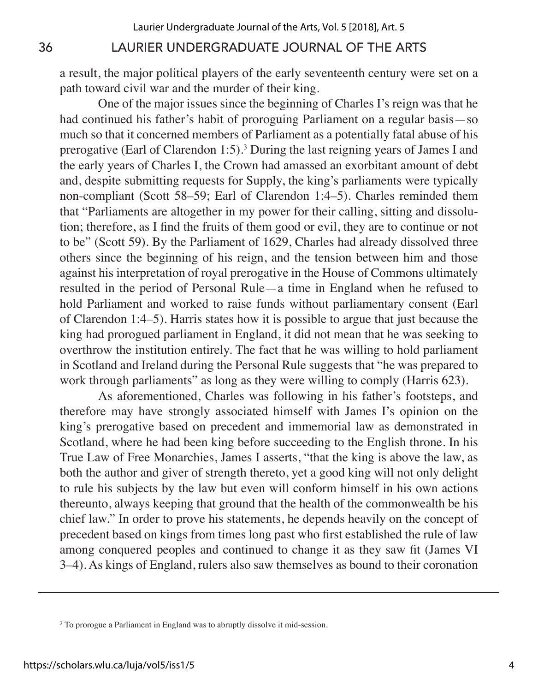a result, the major political players of the early seventeenth century were set on a path toward civil war and the murder of their king.

One of the major issues since the beginning of Charles I's reign was that he had continued his father's habit of proroguing Parliament on a regular basis—so much so that it concerned members of Parliament as a potentially fatal abuse of his prerogative (Earl of Clarendon 1:5).<sup>3</sup> During the last reigning years of James I and the early years of Charles I, the Crown had amassed an exorbitant amount of debt and, despite submitting requests for Supply, the king's parliaments were typically non-compliant (Scott 58–59; Earl of Clarendon 1:4–5). Charles reminded them that "Parliaments are altogether in my power for their calling, sitting and dissolution; therefore, as I find the fruits of them good or evil, they are to continue or not to be" (Scott 59). By the Parliament of 1629, Charles had already dissolved three others since the beginning of his reign, and the tension between him and those against his interpretation of royal prerogative in the House of Commons ultimately resulted in the period of Personal Rule—a time in England when he refused to hold Parliament and worked to raise funds without parliamentary consent (Earl of Clarendon 1:4–5). Harris states how it is possible to argue that just because the king had prorogued parliament in England, it did not mean that he was seeking to overthrow the institution entirely. The fact that he was willing to hold parliament in Scotland and Ireland during the Personal Rule suggests that "he was prepared to work through parliaments" as long as they were willing to comply (Harris 623).

As aforementioned, Charles was following in his father's footsteps, and therefore may have strongly associated himself with James I's opinion on the king's prerogative based on precedent and immemorial law as demonstrated in Scotland, where he had been king before succeeding to the English throne. In his True Law of Free Monarchies, James I asserts, "that the king is above the law, as both the author and giver of strength thereto, yet a good king will not only delight to rule his subjects by the law but even will conform himself in his own actions thereunto, always keeping that ground that the health of the commonwealth be his chief law." In order to prove his statements, he depends heavily on the concept of precedent based on kings from times long past who first established the rule of law among conquered peoples and continued to change it as they saw fit (James VI 3–4). As kings of England, rulers also saw themselves as bound to their coronation

<sup>&</sup>lt;sup>3</sup> To prorogue a Parliament in England was to abruptly dissolve it mid-session.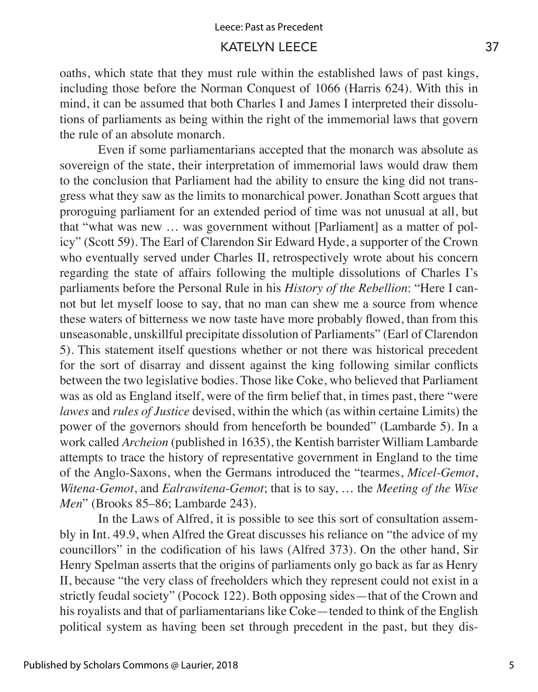oaths, which state that they must rule within the established laws of past kings, including those before the Norman Conquest of 1066 (Harris 624). With this in mind, it can be assumed that both Charles I and James I interpreted their dissolutions of parliaments as being within the right of the immemorial laws that govern the rule of an absolute monarch.

Even if some parliamentarians accepted that the monarch was absolute as sovereign of the state, their interpretation of immemorial laws would draw them to the conclusion that Parliament had the ability to ensure the king did not transgress what they saw as the limits to monarchical power. Jonathan Scott argues that proroguing parliament for an extended period of time was not unusual at all, but that "what was new … was government without [Parliament] as a matter of policy" (Scott 59). The Earl of Clarendon Sir Edward Hyde, a supporter of the Crown who eventually served under Charles II, retrospectively wrote about his concern regarding the state of affairs following the multiple dissolutions of Charles I's parliaments before the Personal Rule in his *History of the Rebellion*: "Here I cannot but let myself loose to say, that no man can shew me a source from whence these waters of bitterness we now taste have more probably flowed, than from this unseasonable, unskillful precipitate dissolution of Parliaments" (Earl of Clarendon 5). This statement itself questions whether or not there was historical precedent for the sort of disarray and dissent against the king following similar conflicts between the two legislative bodies. Those like Coke, who believed that Parliament was as old as England itself, were of the firm belief that, in times past, there "were *lawes* and *rules of Justice* devised, within the which (as within certaine Limits) the power of the governors should from henceforth be bounded" (Lambarde 5). In a work called *Archeion* (published in 1635), the Kentish barrister William Lambarde attempts to trace the history of representative government in England to the time of the Anglo-Saxons, when the Germans introduced the "tearmes, *Micel-Gemot*, *Witena-Gemot*, and *Ealrawitena-Gemot*; that is to say, … the *Meeting of the Wise Men*" (Brooks 85–86; Lambarde 243).

In the Laws of Alfred, it is possible to see this sort of consultation assembly in Int. 49.9, when Alfred the Great discusses his reliance on "the advice of my councillors" in the codification of his laws (Alfred 373). On the other hand, Sir Henry Spelman asserts that the origins of parliaments only go back as far as Henry II, because "the very class of freeholders which they represent could not exist in a strictly feudal society" (Pocock 122). Both opposing sides—that of the Crown and his royalists and that of parliamentarians like Coke—tended to think of the English political system as having been set through precedent in the past, but they dis-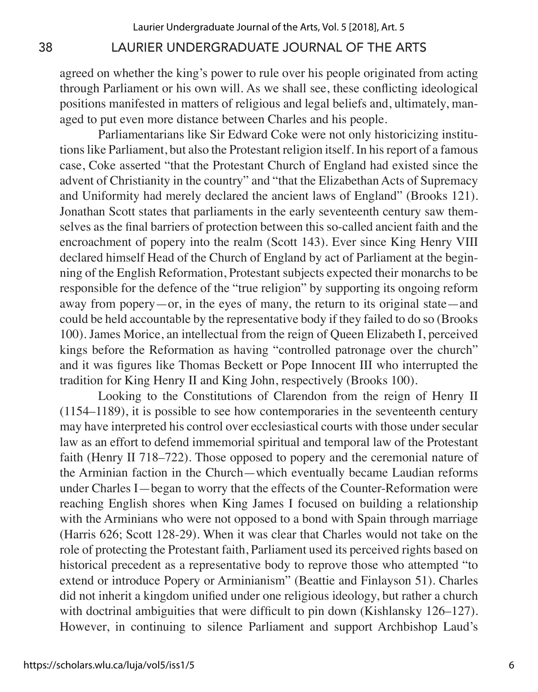agreed on whether the king's power to rule over his people originated from acting through Parliament or his own will. As we shall see, these conflicting ideological positions manifested in matters of religious and legal beliefs and, ultimately, managed to put even more distance between Charles and his people.

Parliamentarians like Sir Edward Coke were not only historicizing institutions like Parliament, but also the Protestant religion itself. In his report of a famous case, Coke asserted "that the Protestant Church of England had existed since the advent of Christianity in the country" and "that the Elizabethan Acts of Supremacy and Uniformity had merely declared the ancient laws of England" (Brooks 121). Jonathan Scott states that parliaments in the early seventeenth century saw themselves as the final barriers of protection between this so-called ancient faith and the encroachment of popery into the realm (Scott 143). Ever since King Henry VIII declared himself Head of the Church of England by act of Parliament at the beginning of the English Reformation, Protestant subjects expected their monarchs to be responsible for the defence of the "true religion" by supporting its ongoing reform away from popery—or, in the eyes of many, the return to its original state—and could be held accountable by the representative body if they failed to do so (Brooks 100). James Morice, an intellectual from the reign of Queen Elizabeth I, perceived kings before the Reformation as having "controlled patronage over the church" and it was figures like Thomas Beckett or Pope Innocent III who interrupted the tradition for King Henry II and King John, respectively (Brooks 100).

Looking to the Constitutions of Clarendon from the reign of Henry II (1154–1189), it is possible to see how contemporaries in the seventeenth century may have interpreted his control over ecclesiastical courts with those under secular law as an effort to defend immemorial spiritual and temporal law of the Protestant faith (Henry II 718–722). Those opposed to popery and the ceremonial nature of the Arminian faction in the Church—which eventually became Laudian reforms under Charles I—began to worry that the effects of the Counter-Reformation were reaching English shores when King James I focused on building a relationship with the Arminians who were not opposed to a bond with Spain through marriage (Harris 626; Scott 128-29). When it was clear that Charles would not take on the role of protecting the Protestant faith, Parliament used its perceived rights based on historical precedent as a representative body to reprove those who attempted "to extend or introduce Popery or Arminianism" (Beattie and Finlayson 51). Charles did not inherit a kingdom unified under one religious ideology, but rather a church with doctrinal ambiguities that were difficult to pin down (Kishlansky 126–127). However, in continuing to silence Parliament and support Archbishop Laud's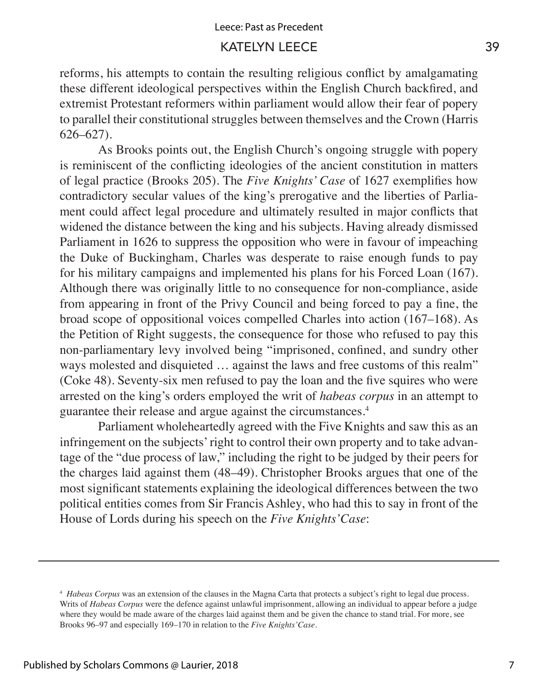reforms, his attempts to contain the resulting religious conflict by amalgamating these different ideological perspectives within the English Church backfired, and extremist Protestant reformers within parliament would allow their fear of popery to parallel their constitutional struggles between themselves and the Crown (Harris 626–627).

As Brooks points out, the English Church's ongoing struggle with popery is reminiscent of the conflicting ideologies of the ancient constitution in matters of legal practice (Brooks 205). The *Five Knights' Case* of 1627 exemplifies how contradictory secular values of the king's prerogative and the liberties of Parliament could affect legal procedure and ultimately resulted in major conflicts that widened the distance between the king and his subjects. Having already dismissed Parliament in 1626 to suppress the opposition who were in favour of impeaching the Duke of Buckingham, Charles was desperate to raise enough funds to pay for his military campaigns and implemented his plans for his Forced Loan (167). Although there was originally little to no consequence for non-compliance, aside from appearing in front of the Privy Council and being forced to pay a fine, the broad scope of oppositional voices compelled Charles into action (167–168). As the Petition of Right suggests, the consequence for those who refused to pay this non-parliamentary levy involved being "imprisoned, confined, and sundry other ways molested and disquieted ... against the laws and free customs of this realm" (Coke 48). Seventy-six men refused to pay the loan and the five squires who were arrested on the king's orders employed the writ of *habeas corpus* in an attempt to guarantee their release and argue against the circumstances.4

Parliament wholeheartedly agreed with the Five Knights and saw this as an infringement on the subjects' right to control their own property and to take advantage of the "due process of law," including the right to be judged by their peers for the charges laid against them (48–49). Christopher Brooks argues that one of the most significant statements explaining the ideological differences between the two political entities comes from Sir Francis Ashley, who had this to say in front of the House of Lords during his speech on the *Five Knights'Case*:

<sup>4</sup> *Habeas Corpus* was an extension of the clauses in the Magna Carta that protects a subject's right to legal due process. Writs of *Habeas Corpus* were the defence against unlawful imprisonment, allowing an individual to appear before a judge where they would be made aware of the charges laid against them and be given the chance to stand trial. For more, see Brooks 96–97 and especially 169–170 in relation to the *Five Knights'Case.*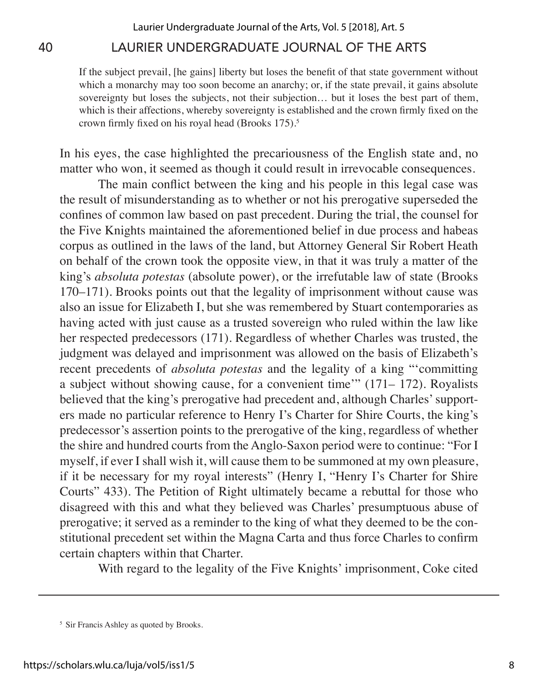If the subject prevail, [he gains] liberty but loses the benefit of that state government without which a monarchy may too soon become an anarchy; or, if the state prevail, it gains absolute sovereignty but loses the subjects, not their subjection... but it loses the best part of them, which is their affections, whereby sovereignty is established and the crown firmly fixed on the crown firmly fixed on his royal head (Brooks 175).<sup>5</sup>

In his eyes, the case highlighted the precariousness of the English state and, no matter who won, it seemed as though it could result in irrevocable consequences.

The main conflict between the king and his people in this legal case was the result of misunderstanding as to whether or not his prerogative superseded the confines of common law based on past precedent. During the trial, the counsel for the Five Knights maintained the aforementioned belief in due process and habeas corpus as outlined in the laws of the land, but Attorney General Sir Robert Heath on behalf of the crown took the opposite view, in that it was truly a matter of the king's *absoluta potestas* (absolute power), or the irrefutable law of state (Brooks 170–171). Brooks points out that the legality of imprisonment without cause was also an issue for Elizabeth I, but she was remembered by Stuart contemporaries as having acted with just cause as a trusted sovereign who ruled within the law like her respected predecessors (171). Regardless of whether Charles was trusted, the judgment was delayed and imprisonment was allowed on the basis of Elizabeth's recent precedents of *absoluta potestas* and the legality of a king "'committing a subject without showing cause, for a convenient time'" (171– 172). Royalists believed that the king's prerogative had precedent and, although Charles' supporters made no particular reference to Henry I's Charter for Shire Courts, the king's predecessor's assertion points to the prerogative of the king, regardless of whether the shire and hundred courts from the Anglo-Saxon period were to continue: "For I myself, if ever I shall wish it, will cause them to be summoned at my own pleasure, if it be necessary for my royal interests" (Henry I, "Henry I's Charter for Shire Courts" 433). The Petition of Right ultimately became a rebuttal for those who disagreed with this and what they believed was Charles' presumptuous abuse of prerogative; it served as a reminder to the king of what they deemed to be the constitutional precedent set within the Magna Carta and thus force Charles to confirm certain chapters within that Charter.

With regard to the legality of the Five Knights' imprisonment, Coke cited

<sup>5</sup> Sir Francis Ashley as quoted by Brooks.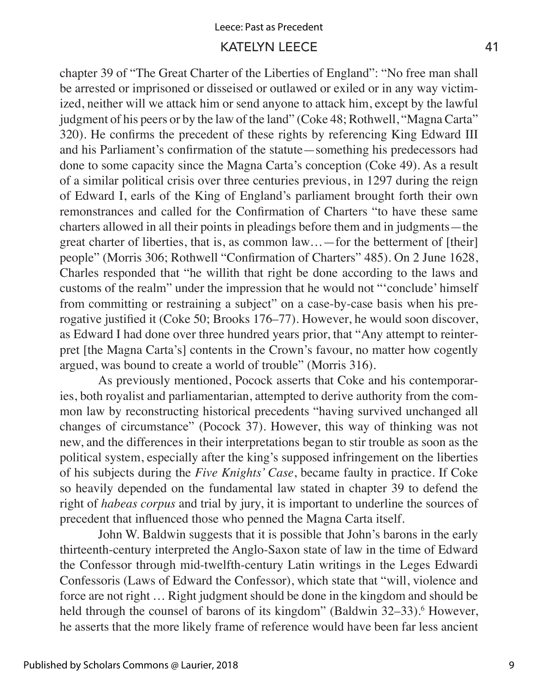#### Leece: Past as Precedent

#### KATELYN LEECE 41

chapter 39 of "The Great Charter of the Liberties of England": "No free man shall be arrested or imprisoned or disseised or outlawed or exiled or in any way victimized, neither will we attack him or send anyone to attack him, except by the lawful judgment of his peers or by the law of the land" (Coke 48; Rothwell, "Magna Carta" 320). He confirms the precedent of these rights by referencing King Edward III and his Parliament's confirmation of the statute—something his predecessors had done to some capacity since the Magna Carta's conception (Coke 49). As a result of a similar political crisis over three centuries previous, in 1297 during the reign of Edward I, earls of the King of England's parliament brought forth their own remonstrances and called for the Confirmation of Charters "to have these same charters allowed in all their points in pleadings before them and in judgments—the great charter of liberties, that is, as common law…—for the betterment of [their] people" (Morris 306; Rothwell "Confirmation of Charters" 485). On 2 June 1628, Charles responded that "he willith that right be done according to the laws and customs of the realm" under the impression that he would not "'conclude' himself from committing or restraining a subject" on a case-by-case basis when his prerogative justified it (Coke 50; Brooks 176–77). However, he would soon discover, as Edward I had done over three hundred years prior, that "Any attempt to reinterpret [the Magna Carta's] contents in the Crown's favour, no matter how cogently argued, was bound to create a world of trouble" (Morris 316).

As previously mentioned, Pocock asserts that Coke and his contemporaries, both royalist and parliamentarian, attempted to derive authority from the common law by reconstructing historical precedents "having survived unchanged all changes of circumstance" (Pocock 37). However, this way of thinking was not new, and the differences in their interpretations began to stir trouble as soon as the political system, especially after the king's supposed infringement on the liberties of his subjects during the *Five Knights' Case*, became faulty in practice. If Coke so heavily depended on the fundamental law stated in chapter 39 to defend the right of *habeas corpus* and trial by jury, it is important to underline the sources of precedent that influenced those who penned the Magna Carta itself.

John W. Baldwin suggests that it is possible that John's barons in the early thirteenth-century interpreted the Anglo-Saxon state of law in the time of Edward the Confessor through mid-twelfth-century Latin writings in the Leges Edwardi Confessoris (Laws of Edward the Confessor), which state that "will, violence and force are not right … Right judgment should be done in the kingdom and should be held through the counsel of barons of its kingdom" (Baldwin 32–33).<sup>6</sup> However, he asserts that the more likely frame of reference would have been far less ancient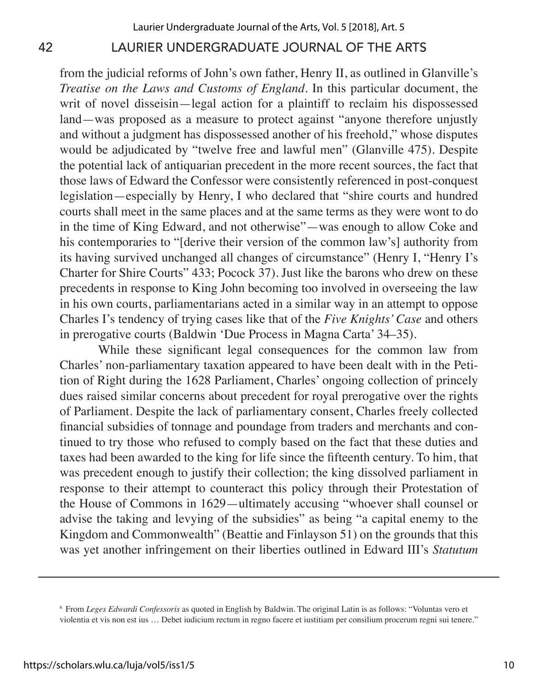from the judicial reforms of John's own father, Henry II, as outlined in Glanville's *Treatise on the Laws and Customs of England*. In this particular document, the writ of novel disseisin—legal action for a plaintiff to reclaim his dispossessed land—was proposed as a measure to protect against "anyone therefore unjustly and without a judgment has dispossessed another of his freehold," whose disputes would be adjudicated by "twelve free and lawful men" (Glanville 475). Despite the potential lack of antiquarian precedent in the more recent sources, the fact that those laws of Edward the Confessor were consistently referenced in post-conquest legislation—especially by Henry, I who declared that "shire courts and hundred courts shall meet in the same places and at the same terms as they were wont to do in the time of King Edward, and not otherwise"—was enough to allow Coke and his contemporaries to "[derive their version of the common law's] authority from its having survived unchanged all changes of circumstance" (Henry I, "Henry I's Charter for Shire Courts" 433; Pocock 37). Just like the barons who drew on these precedents in response to King John becoming too involved in overseeing the law in his own courts, parliamentarians acted in a similar way in an attempt to oppose Charles I's tendency of trying cases like that of the *Five Knights' Case* and others in prerogative courts (Baldwin 'Due Process in Magna Carta' 34–35).

While these significant legal consequences for the common law from Charles' non-parliamentary taxation appeared to have been dealt with in the Petition of Right during the 1628 Parliament, Charles' ongoing collection of princely dues raised similar concerns about precedent for royal prerogative over the rights of Parliament. Despite the lack of parliamentary consent, Charles freely collected financial subsidies of tonnage and poundage from traders and merchants and continued to try those who refused to comply based on the fact that these duties and taxes had been awarded to the king for life since the fifteenth century. To him, that was precedent enough to justify their collection; the king dissolved parliament in response to their attempt to counteract this policy through their Protestation of the House of Commons in 1629—ultimately accusing "whoever shall counsel or advise the taking and levying of the subsidies" as being "a capital enemy to the Kingdom and Commonwealth" (Beattie and Finlayson 51) on the grounds that this was yet another infringement on their liberties outlined in Edward III's *Statutum* 

<sup>6</sup> From *Leges Edwardi Confessoris* as quoted in English by Baldwin. The original Latin is as follows: "Voluntas vero et violentia et vis non est ius … Debet iudicium rectum in regno facere et iustitiam per consilium procerum regni sui tenere."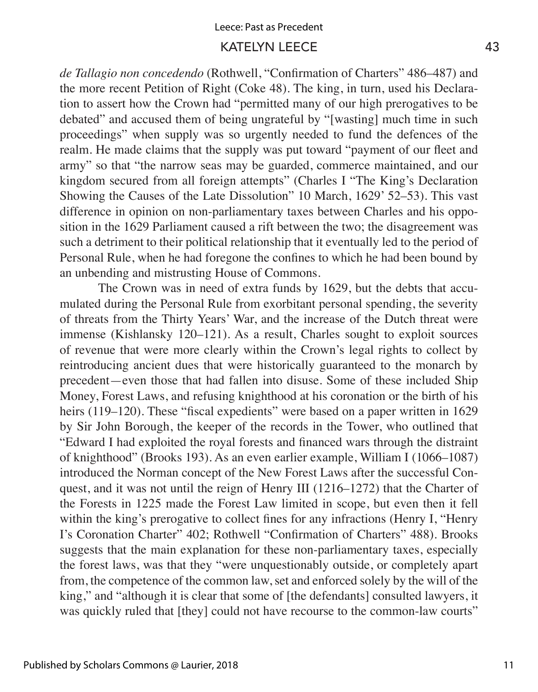*de Tallagio non concedendo* (Rothwell, "Confirmation of Charters" 486–487) and the more recent Petition of Right (Coke 48). The king, in turn, used his Declaration to assert how the Crown had "permitted many of our high prerogatives to be debated" and accused them of being ungrateful by "[wasting] much time in such proceedings" when supply was so urgently needed to fund the defences of the realm. He made claims that the supply was put toward "payment of our fleet and army" so that "the narrow seas may be guarded, commerce maintained, and our kingdom secured from all foreign attempts" (Charles I "The King's Declaration Showing the Causes of the Late Dissolution" 10 March, 1629' 52–53). This vast difference in opinion on non-parliamentary taxes between Charles and his opposition in the 1629 Parliament caused a rift between the two; the disagreement was such a detriment to their political relationship that it eventually led to the period of Personal Rule, when he had foregone the confines to which he had been bound by an unbending and mistrusting House of Commons.

The Crown was in need of extra funds by 1629, but the debts that accumulated during the Personal Rule from exorbitant personal spending, the severity of threats from the Thirty Years' War, and the increase of the Dutch threat were immense (Kishlansky 120–121). As a result, Charles sought to exploit sources of revenue that were more clearly within the Crown's legal rights to collect by reintroducing ancient dues that were historically guaranteed to the monarch by precedent—even those that had fallen into disuse. Some of these included Ship Money, Forest Laws, and refusing knighthood at his coronation or the birth of his heirs (119–120). These "fiscal expedients" were based on a paper written in 1629 by Sir John Borough, the keeper of the records in the Tower, who outlined that "Edward I had exploited the royal forests and financed wars through the distraint of knighthood" (Brooks 193). As an even earlier example, William I (1066–1087) introduced the Norman concept of the New Forest Laws after the successful Conquest, and it was not until the reign of Henry III (1216–1272) that the Charter of the Forests in 1225 made the Forest Law limited in scope, but even then it fell within the king's prerogative to collect fines for any infractions (Henry I, "Henry I's Coronation Charter" 402; Rothwell "Confirmation of Charters" 488). Brooks suggests that the main explanation for these non-parliamentary taxes, especially the forest laws, was that they "were unquestionably outside, or completely apart from, the competence of the common law, set and enforced solely by the will of the king," and "although it is clear that some of [the defendants] consulted lawyers, it was quickly ruled that [they] could not have recourse to the common-law courts"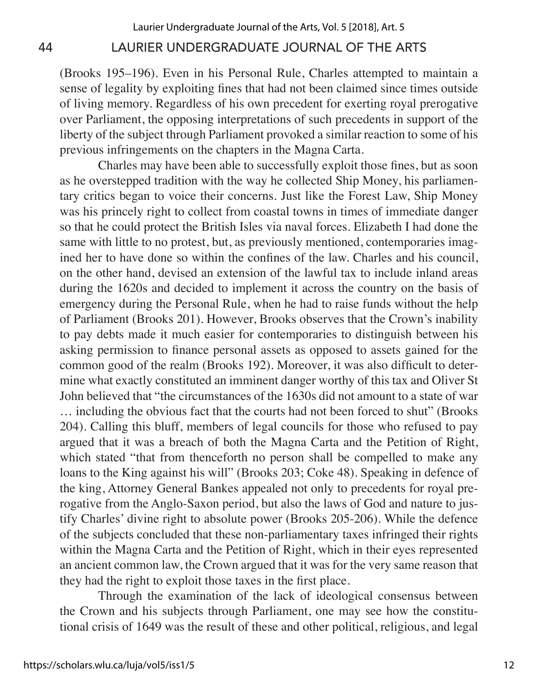(Brooks 195–196). Even in his Personal Rule, Charles attempted to maintain a sense of legality by exploiting fines that had not been claimed since times outside of living memory. Regardless of his own precedent for exerting royal prerogative over Parliament, the opposing interpretations of such precedents in support of the liberty of the subject through Parliament provoked a similar reaction to some of his previous infringements on the chapters in the Magna Carta.

Charles may have been able to successfully exploit those fines, but as soon as he overstepped tradition with the way he collected Ship Money, his parliamentary critics began to voice their concerns. Just like the Forest Law, Ship Money was his princely right to collect from coastal towns in times of immediate danger so that he could protect the British Isles via naval forces. Elizabeth I had done the same with little to no protest, but, as previously mentioned, contemporaries imagined her to have done so within the confines of the law. Charles and his council, on the other hand, devised an extension of the lawful tax to include inland areas during the 1620s and decided to implement it across the country on the basis of emergency during the Personal Rule, when he had to raise funds without the help of Parliament (Brooks 201). However, Brooks observes that the Crown's inability to pay debts made it much easier for contemporaries to distinguish between his asking permission to finance personal assets as opposed to assets gained for the common good of the realm (Brooks 192). Moreover, it was also difficult to determine what exactly constituted an imminent danger worthy of this tax and Oliver St John believed that "the circumstances of the 1630s did not amount to a state of war … including the obvious fact that the courts had not been forced to shut" (Brooks 204). Calling this bluff, members of legal councils for those who refused to pay argued that it was a breach of both the Magna Carta and the Petition of Right, which stated "that from thenceforth no person shall be compelled to make any loans to the King against his will" (Brooks 203; Coke 48). Speaking in defence of the king, Attorney General Bankes appealed not only to precedents for royal prerogative from the Anglo-Saxon period, but also the laws of God and nature to justify Charles' divine right to absolute power (Brooks 205-206). While the defence of the subjects concluded that these non-parliamentary taxes infringed their rights within the Magna Carta and the Petition of Right, which in their eyes represented an ancient common law, the Crown argued that it was for the very same reason that they had the right to exploit those taxes in the first place.

Through the examination of the lack of ideological consensus between the Crown and his subjects through Parliament, one may see how the constitutional crisis of 1649 was the result of these and other political, religious, and legal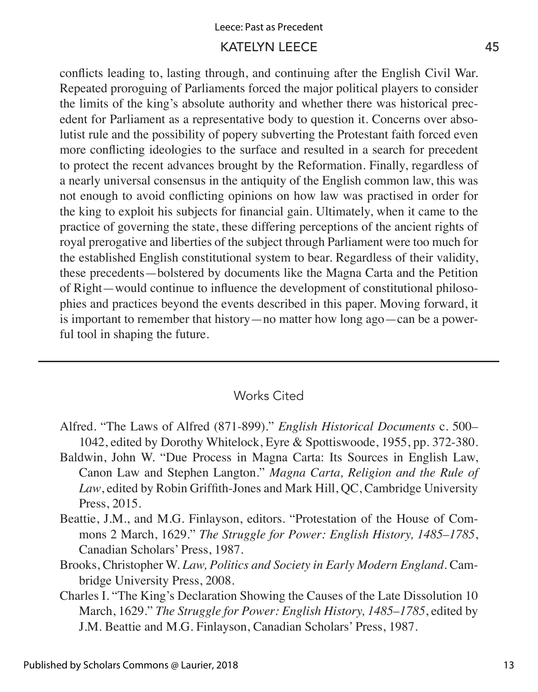conflicts leading to, lasting through, and continuing after the English Civil War. Repeated proroguing of Parliaments forced the major political players to consider the limits of the king's absolute authority and whether there was historical precedent for Parliament as a representative body to question it. Concerns over absolutist rule and the possibility of popery subverting the Protestant faith forced even more conflicting ideologies to the surface and resulted in a search for precedent to protect the recent advances brought by the Reformation. Finally, regardless of a nearly universal consensus in the antiquity of the English common law, this was not enough to avoid conflicting opinions on how law was practised in order for the king to exploit his subjects for financial gain. Ultimately, when it came to the practice of governing the state, these differing perceptions of the ancient rights of royal prerogative and liberties of the subject through Parliament were too much for the established English constitutional system to bear. Regardless of their validity, these precedents—bolstered by documents like the Magna Carta and the Petition of Right—would continue to influence the development of constitutional philosophies and practices beyond the events described in this paper. Moving forward, it is important to remember that history—no matter how long ago—can be a powerful tool in shaping the future.

#### Works Cited

- Alfred. "The Laws of Alfred (871-899)." *English Historical Documents* c. 500– 1042, edited by Dorothy Whitelock, Eyre & Spottiswoode, 1955, pp. 372-380.
- Baldwin, John W. "Due Process in Magna Carta: Its Sources in English Law, Canon Law and Stephen Langton." *Magna Carta, Religion and the Rule of Law*, edited by Robin Griffith-Jones and Mark Hill, QC, Cambridge University Press, 2015.
- Beattie, J.M., and M.G. Finlayson, editors. "Protestation of the House of Commons 2 March, 1629." *The Struggle for Power: English History, 1485–1785*, Canadian Scholars' Press, 1987.
- Brooks, Christopher W. *Law, Politics and Society in Early Modern England*. Cambridge University Press, 2008.
- Charles I. "The King's Declaration Showing the Causes of the Late Dissolution 10 March, 1629." *The Struggle for Power: English History, 1485*–*1785*, edited by J.M. Beattie and M.G. Finlayson, Canadian Scholars' Press, 1987.